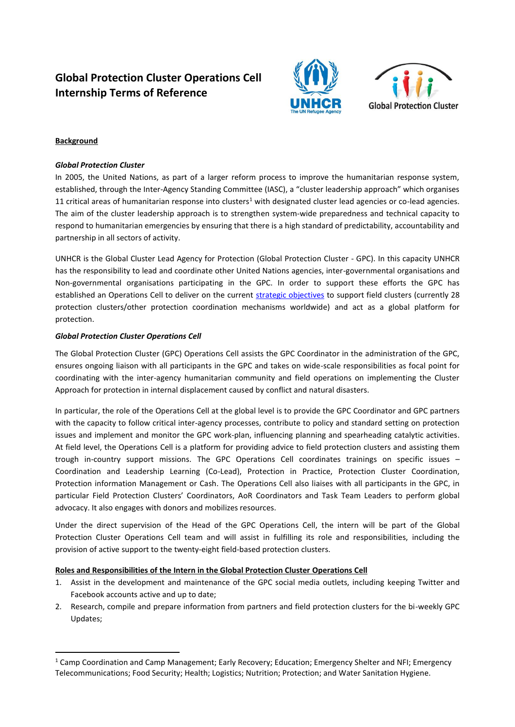# **Global Protection Cluster Operations Cell Internship Terms of Reference**





# **Background**

 $\overline{a}$ 

#### *Global Protection Cluster*

In 2005, the United Nations, as part of a larger reform process to improve the humanitarian response system, established, through the Inter-Agency Standing Committee (IASC), a "cluster leadership approach" which organises 11 critical areas of humanitarian response into clusters<sup>1</sup> with designated cluster lead agencies or co-lead agencies. The aim of the cluster leadership approach is to strengthen system-wide preparedness and technical capacity to respond to humanitarian emergencies by ensuring that there is a high standard of predictability, accountability and partnership in all sectors of activity.

UNHCR is the Global Cluster Lead Agency for Protection (Global Protection Cluster - GPC). In this capacity UNHCR has the responsibility to lead and coordinate other United Nations agencies, inter-governmental organisations and Non-governmental organisations participating in the GPC. In order to support these efforts the GPC has established an Operations Cell to deliver on the current [strategic objectives](http://www.globalprotectioncluster.org/_assets/files/about_us/GPC_strategy/gpcstrategicframework.pdf) to support field clusters (currently 28 protection clusters/other protection coordination mechanisms worldwide) and act as a global platform for protection.

#### *Global Protection Cluster Operations Cell*

The Global Protection Cluster (GPC) Operations Cell assists the GPC Coordinator in the administration of the GPC, ensures ongoing liaison with all participants in the GPC and takes on wide-scale responsibilities as focal point for coordinating with the inter-agency humanitarian community and field operations on implementing the Cluster Approach for protection in internal displacement caused by conflict and natural disasters.

In particular, the role of the Operations Cell at the global level is to provide the GPC Coordinator and GPC partners with the capacity to follow critical inter-agency processes, contribute to policy and standard setting on protection issues and implement and monitor the GPC work-plan, influencing planning and spearheading catalytic activities. At field level, the Operations Cell is a platform for providing advice to field protection clusters and assisting them trough in-country support missions. The GPC Operations Cell coordinates trainings on specific issues – Coordination and Leadership Learning (Co-Lead), Protection in Practice, Protection Cluster Coordination, Protection information Management or Cash. The Operations Cell also liaises with all participants in the GPC, in particular Field Protection Clusters' Coordinators, AoR Coordinators and Task Team Leaders to perform global advocacy. It also engages with donors and mobilizes resources.

Under the direct supervision of the Head of the GPC Operations Cell, the intern will be part of the Global Protection Cluster Operations Cell team and will assist in fulfilling its role and responsibilities, including the provision of active support to the twenty-eight field-based protection clusters.

# **Roles and Responsibilities of the Intern in the Global Protection Cluster Operations Cell**

- 1. Assist in the development and maintenance of the GPC social media outlets, including keeping Twitter and Facebook accounts active and up to date;
- 2. Research, compile and prepare information from partners and field protection clusters for the bi-weekly GPC Updates;

<sup>&</sup>lt;sup>1</sup> Camp Coordination and Camp Management; Early Recovery; Education; Emergency Shelter and NFI; Emergency Telecommunications; Food Security; Health; Logistics; Nutrition; Protection; and Water Sanitation Hygiene.